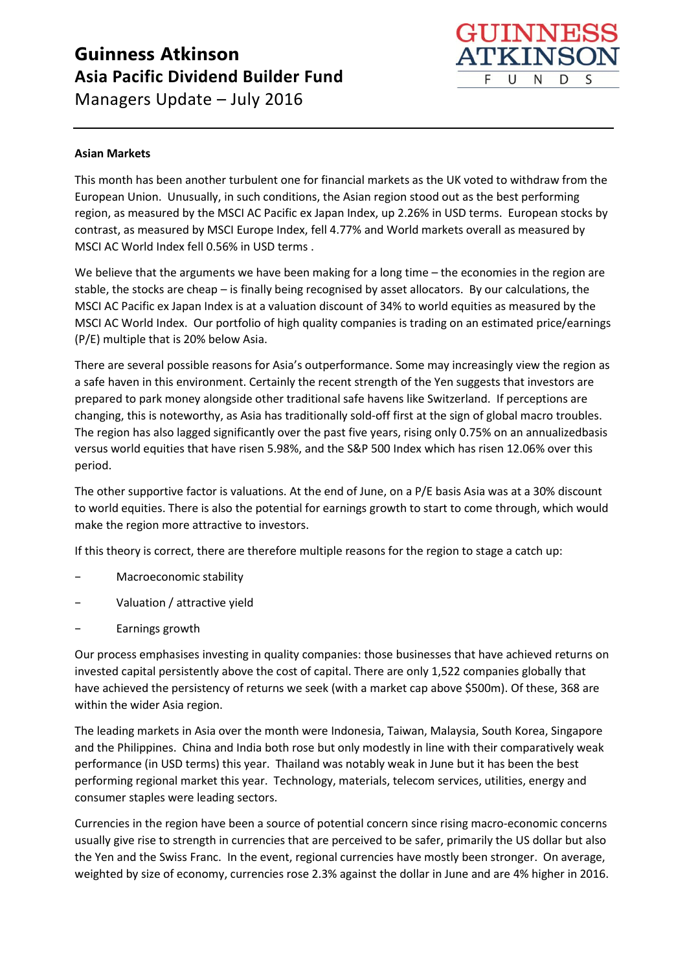

#### **Asian Markets**

This month has been another turbulent one for financial markets as the UK voted to withdraw from the European Union. Unusually, in such conditions, the Asian region stood out as the best performing region, as measured by the MSCI AC Pacific ex Japan Index, up 2.26% in USD terms. European stocks by contrast, as measured by MSCI Europe Index, fell 4.77% and World markets overall as measured by MSCI AC World Index fell 0.56% in USD terms .

We believe that the arguments we have been making for a long time – the economies in the region are stable, the stocks are cheap – is finally being recognised by asset allocators. By our calculations, the MSCI AC Pacific ex Japan Index is at a valuation discount of 34% to world equities as measured by the MSCI AC World Index. Our portfolio of high quality companies is trading on an estimated price/earnings (P/E) multiple that is 20% below Asia.

There are several possible reasons for Asia's outperformance. Some may increasingly view the region as a safe haven in this environment. Certainly the recent strength of the Yen suggests that investors are prepared to park money alongside other traditional safe havens like Switzerland. If perceptions are changing, this is noteworthy, as Asia has traditionally sold-off first at the sign of global macro troubles. The region has also lagged significantly over the past five years, rising only 0.75% on an annualizedbasis versus world equities that have risen 5.98%, and the S&P 500 Index which has risen 12.06% over this period.

The other supportive factor is valuations. At the end of June, on a P/E basis Asia was at a 30% discount to world equities. There is also the potential for earnings growth to start to come through, which would make the region more attractive to investors.

If this theory is correct, there are therefore multiple reasons for the region to stage a catch up:

- − Macroeconomic stability
- − Valuation / attractive yield
- − Earnings growth

Our process emphasises investing in quality companies: those businesses that have achieved returns on invested capital persistently above the cost of capital. There are only 1,522 companies globally that have achieved the persistency of returns we seek (with a market cap above \$500m). Of these, 368 are within the wider Asia region.

The leading markets in Asia over the month were Indonesia, Taiwan, Malaysia, South Korea, Singapore and the Philippines. China and India both rose but only modestly in line with their comparatively weak performance (in USD terms) this year. Thailand was notably weak in June but it has been the best performing regional market this year. Technology, materials, telecom services, utilities, energy and consumer staples were leading sectors.

Currencies in the region have been a source of potential concern since rising macro-economic concerns usually give rise to strength in currencies that are perceived to be safer, primarily the US dollar but also the Yen and the Swiss Franc. In the event, regional currencies have mostly been stronger. On average, weighted by size of economy, currencies rose 2.3% against the dollar in June and are 4% higher in 2016.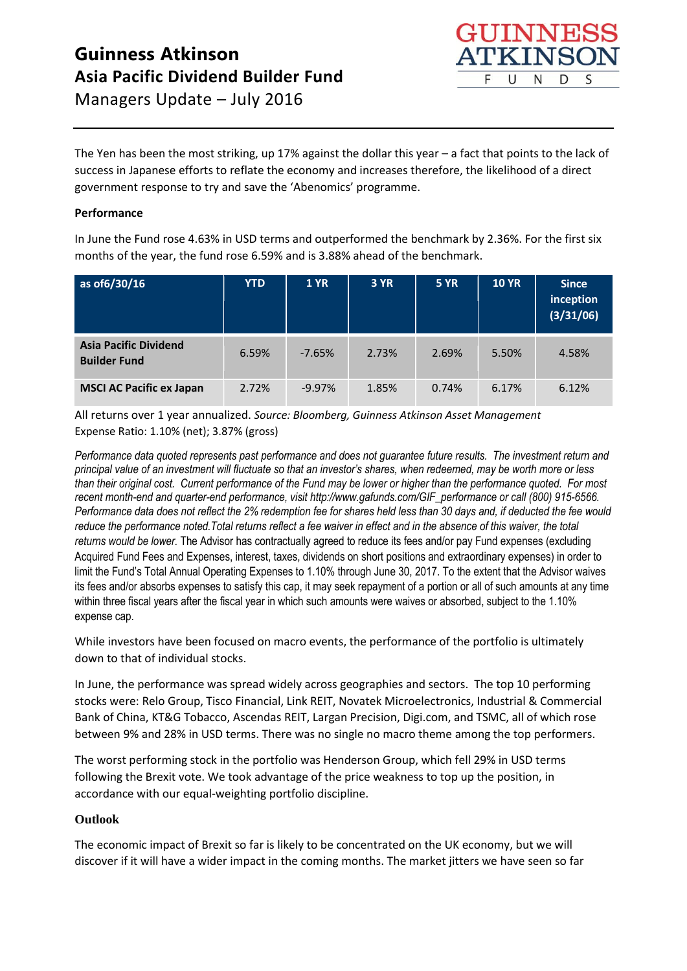The Yen has been the most striking, up 17% against the dollar this year – a fact that points to the lack of success in Japanese efforts to reflate the economy and increases therefore, the likelihood of a direct government response to try and save the 'Abenomics' programme.

### **Performance**

In June the Fund rose 4.63% in USD terms and outperformed the benchmark by 2.36%. For the first six months of the year, the fund rose 6.59% and is 3.88% ahead of the benchmark.

| as of 6/30/16                                       | <b>YTD</b> | <b>1 YR</b> | <b>3 YR</b> | <b>5 YR</b> | <b>10 YR</b> | <b>Since</b><br>inception<br>(3/31/06) |
|-----------------------------------------------------|------------|-------------|-------------|-------------|--------------|----------------------------------------|
| <b>Asia Pacific Dividend</b><br><b>Builder Fund</b> | 6.59%      | $-7.65%$    | 2.73%       | 2.69%       | 5.50%        | 4.58%                                  |
| <b>MSCI AC Pacific ex Japan</b>                     | 2.72%      | $-9.97%$    | 1.85%       | 0.74%       | 6.17%        | 6.12%                                  |

All returns over 1 year annualized. *Source: Bloomberg, Guinness Atkinson Asset Management* Expense Ratio: 1.10% (net); 3.87% (gross)

*Performance data quoted represents past performance and does not guarantee future results. The investment return and principal value of an investment will fluctuate so that an investor's shares, when redeemed, may be worth more or less than their original cost. Current performance of the Fund may be lower or higher than the performance quoted. For most recent month-end and quarter-end performance, visit http://www.gafunds.com/GIF\_performance or call (800) 915-6566. Performance data does not reflect the 2% redemption fee for shares held less than 30 days and, if deducted the fee would reduce the performance noted.Total returns reflect a fee waiver in effect and in the absence of this waiver, the total returns would be lower.* The Advisor has contractually agreed to reduce its fees and/or pay Fund expenses (excluding Acquired Fund Fees and Expenses, interest, taxes, dividends on short positions and extraordinary expenses) in order to limit the Fund's Total Annual Operating Expenses to 1.10% through June 30, 2017. To the extent that the Advisor waives its fees and/or absorbs expenses to satisfy this cap, it may seek repayment of a portion or all of such amounts at any time within three fiscal years after the fiscal year in which such amounts were waives or absorbed, subject to the 1.10% expense cap.

While investors have been focused on macro events, the performance of the portfolio is ultimately down to that of individual stocks.

In June, the performance was spread widely across geographies and sectors. The top 10 performing stocks were: Relo Group, Tisco Financial, Link REIT, Novatek Microelectronics, Industrial & Commercial Bank of China, KT&G Tobacco, Ascendas REIT, Largan Precision, Digi.com, and TSMC, all of which rose between 9% and 28% in USD terms. There was no single no macro theme among the top performers.

The worst performing stock in the portfolio was Henderson Group, which fell 29% in USD terms following the Brexit vote. We took advantage of the price weakness to top up the position, in accordance with our equal-weighting portfolio discipline.

#### **Outlook**

The economic impact of Brexit so far is likely to be concentrated on the UK economy, but we will discover if it will have a wider impact in the coming months. The market jitters we have seen so far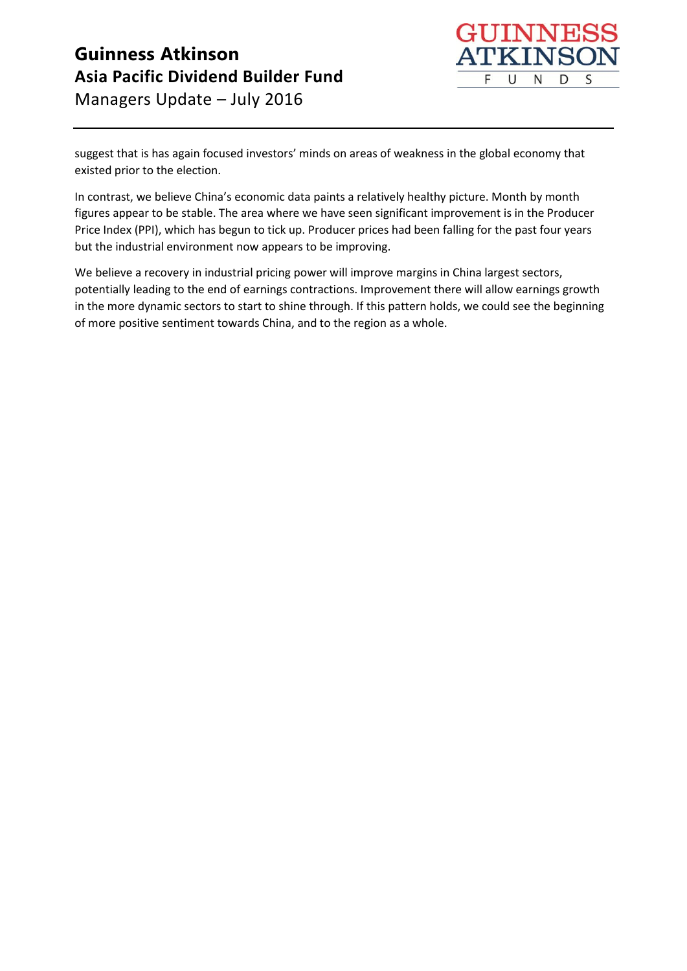

suggest that is has again focused investors' minds on areas of weakness in the global economy that existed prior to the election.

In contrast, we believe China's economic data paints a relatively healthy picture. Month by month figures appear to be stable. The area where we have seen significant improvement is in the Producer Price Index (PPI), which has begun to tick up. Producer prices had been falling for the past four years but the industrial environment now appears to be improving.

We believe a recovery in industrial pricing power will improve margins in China largest sectors, potentially leading to the end of earnings contractions. Improvement there will allow earnings growth in the more dynamic sectors to start to shine through. If this pattern holds, we could see the beginning of more positive sentiment towards China, and to the region as a whole.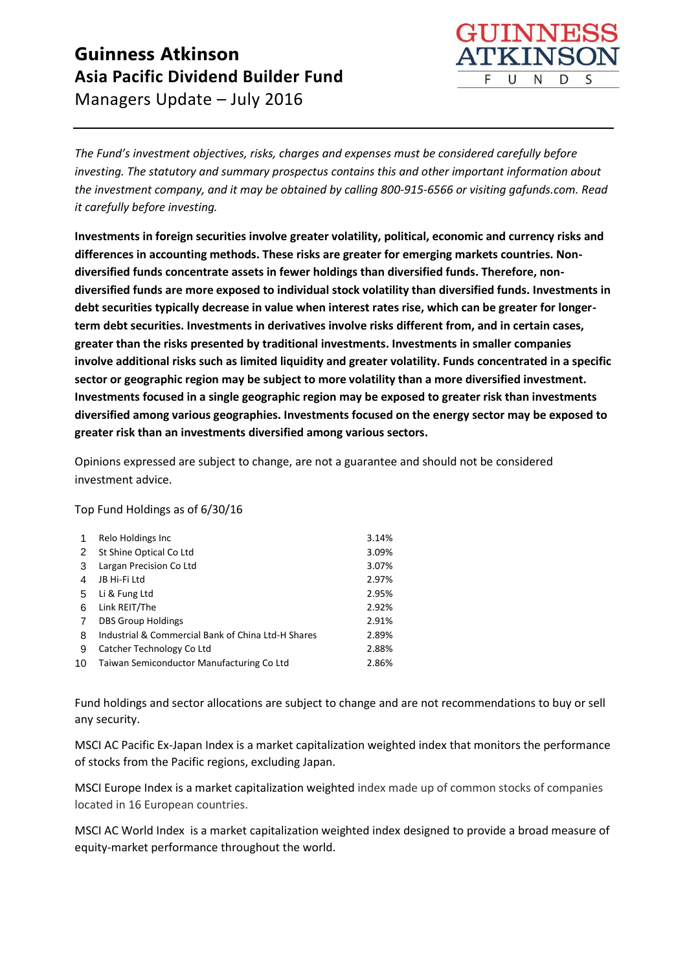

*The Fund's investment objectives, risks, charges and expenses must be considered carefully before investing. The statutory and summary prospectus contains this and other important information about the investment company, and it may be obtained by calling 800-915-6566 or visiting gafunds.com. Read it carefully before investing.*

**Investments in foreign securities involve greater volatility, political, economic and currency risks and differences in accounting methods. These risks are greater for emerging markets countries. Nondiversified funds concentrate assets in fewer holdings than diversified funds. Therefore, nondiversified funds are more exposed to individual stock volatility than diversified funds. Investments in debt securities typically decrease in value when interest rates rise, which can be greater for longerterm debt securities. Investments in derivatives involve risks different from, and in certain cases, greater than the risks presented by traditional investments. Investments in smaller companies involve additional risks such as limited liquidity and greater volatility. Funds concentrated in a specific sector or geographic region may be subject to more volatility than a more diversified investment. Investments focused in a single geographic region may be exposed to greater risk than investments diversified among various geographies. Investments focused on the energy sector may be exposed to greater risk than an investments diversified among various sectors.**

Opinions expressed are subject to change, are not a guarantee and should not be considered investment advice.

Top Fund Holdings as of 6/30/16

| 1  | Relo Holdings Inc                                  | 3.14% |
|----|----------------------------------------------------|-------|
| 2  | St Shine Optical Co Ltd                            | 3.09% |
| 3  | Largan Precision Co Ltd                            | 3.07% |
| 4  | JB Hi-Fi Ltd                                       | 2.97% |
| 5  | Li & Fung Ltd                                      | 2.95% |
| 6  | Link REIT/The                                      | 2.92% |
| 7  | <b>DBS Group Holdings</b>                          | 2.91% |
| 8  | Industrial & Commercial Bank of China Ltd-H Shares | 2.89% |
| 9  | Catcher Technology Co Ltd                          | 2.88% |
| 10 | Taiwan Semiconductor Manufacturing Co Ltd          | 2.86% |

Fund holdings and sector allocations are subject to change and are not recommendations to buy or sell any security.

MSCI AC Pacific Ex-Japan Index is a market capitalization weighted index that monitors the performance of stocks from the Pacific regions, excluding Japan.

MSCI Europe Index is a market capitalization weighted index made up of common stocks of companies located in 16 European countries.

MSCI AC World Index is a market capitalization weighted index designed to provide a broad measure of equity-market performance throughout the world.